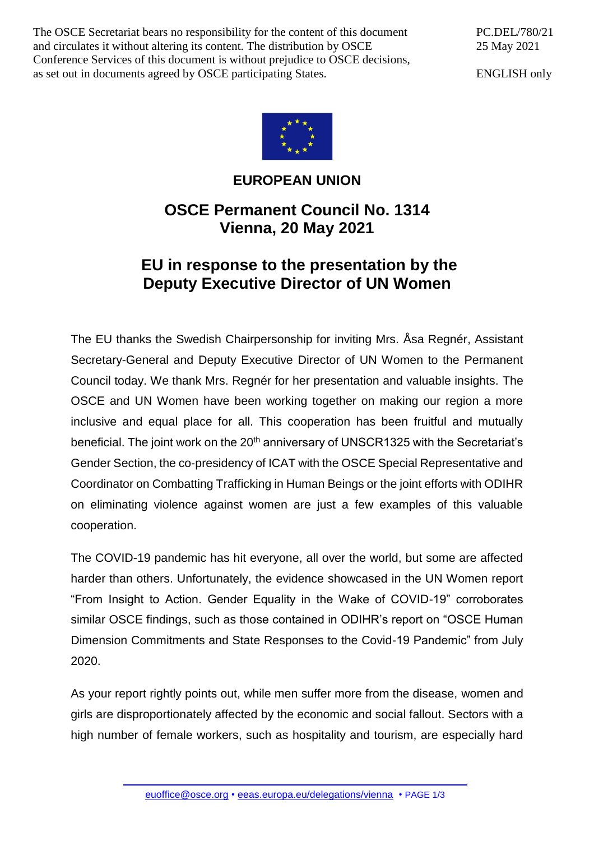The OSCE Secretariat bears no responsibility for the content of this document and circulates it without altering its content. The distribution by OSCE Conference Services of this document is without prejudice to OSCE decisions, as set out in documents agreed by OSCE participating States.

PC.DEL/780/21 25 May 2021

ENGLISH only



## **EUROPEAN UNION**

## **OSCE Permanent Council No. 1314 Vienna, 20 May 2021**

## **EU in response to the presentation by the Deputy Executive Director of UN Women**

The EU thanks the Swedish Chairpersonship for inviting Mrs. Åsa Regnér, Assistant Secretary-General and Deputy Executive Director of UN Women to the Permanent Council today. We thank Mrs. Regnér for her presentation and valuable insights. The OSCE and UN Women have been working together on making our region a more inclusive and equal place for all. This cooperation has been fruitful and mutually beneficial. The joint work on the 20<sup>th</sup> anniversary of UNSCR1325 with the Secretariat's Gender Section, the co-presidency of ICAT with the OSCE Special Representative and Coordinator on Combatting Trafficking in Human Beings or the joint efforts with ODIHR on eliminating violence against women are just a few examples of this valuable cooperation.

The COVID-19 pandemic has hit everyone, all over the world, but some are affected harder than others. Unfortunately, the evidence showcased in the UN Women report "From Insight to Action. Gender Equality in the Wake of COVID-19" corroborates similar OSCE findings, such as those contained in ODIHR's report on "OSCE Human Dimension Commitments and State Responses to the Covid-19 Pandemic" from July 2020.

As your report rightly points out, while men suffer more from the disease, women and girls are disproportionately affected by the economic and social fallout. Sectors with a high number of female workers, such as hospitality and tourism, are especially hard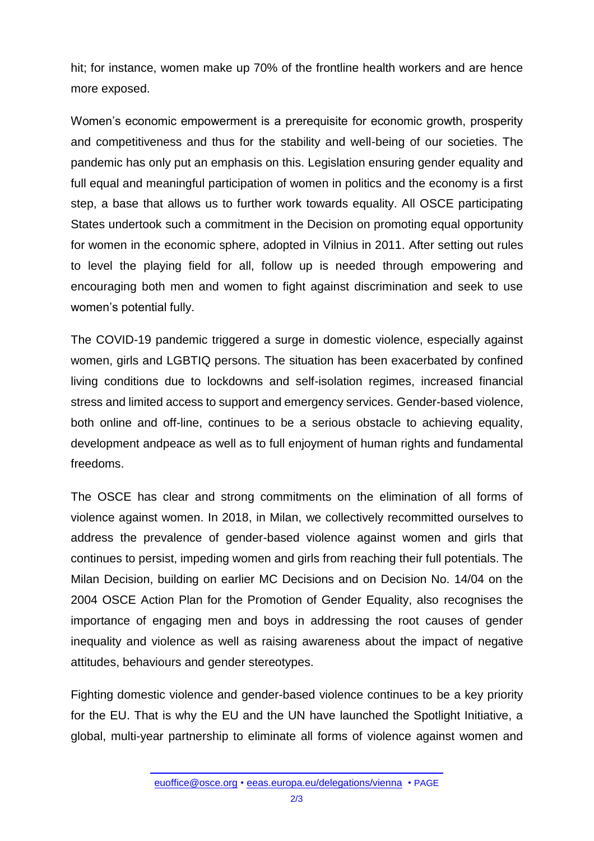hit; for instance, women make up 70% of the frontline health workers and are hence more exposed.

Women's economic empowerment is a prerequisite for economic growth, prosperity and competitiveness and thus for the stability and well-being of our societies. The pandemic has only put an emphasis on this. Legislation ensuring gender equality and full equal and meaningful participation of women in politics and the economy is a first step, a base that allows us to further work towards equality. All OSCE participating States undertook such a commitment in the Decision on promoting equal opportunity for women in the economic sphere, adopted in Vilnius in 2011. After setting out rules to level the playing field for all, follow up is needed through empowering and encouraging both men and women to fight against discrimination and seek to use women's potential fully.

The COVID-19 pandemic triggered a surge in domestic violence, especially against women, girls and LGBTIQ persons. The situation has been exacerbated by confined living conditions due to lockdowns and self-isolation regimes, increased financial stress and limited access to support and emergency services. Gender-based violence, both online and off-line, continues to be a serious obstacle to achieving equality, development andpeace as well as to full enjoyment of human rights and fundamental freedoms.

The OSCE has clear and strong commitments on the elimination of all forms of violence against women. In 2018, in Milan, we collectively recommitted ourselves to address the prevalence of gender-based violence against women and girls that continues to persist, impeding women and girls from reaching their full potentials. The Milan Decision, building on earlier MC Decisions and on Decision No. 14/04 on the 2004 OSCE Action Plan for the Promotion of Gender Equality, also recognises the importance of engaging men and boys in addressing the root causes of gender inequality and violence as well as raising awareness about the impact of negative attitudes, behaviours and gender stereotypes.

Fighting domestic violence and gender-based violence continues to be a key priority for the EU. That is why the EU and the UN have launched the Spotlight Initiative, a global, multi-year partnership to eliminate all forms of violence against women and